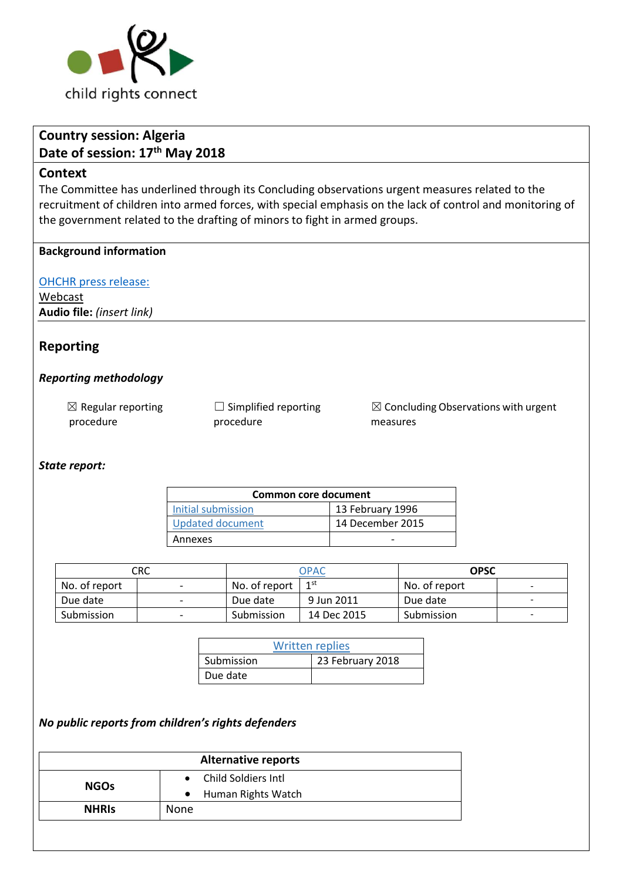

# **Country session: Algeria Date of session: 17th May 2018**

### **Context**

The Committee has underlined through its Concluding observations urgent measures related to the recruitment of children into armed forces, with special emphasis on the lack of control and monitoring of the government related to the drafting of minors to fight in armed groups.

#### **Background information**

[OHCHR press release:](https://www.unog.ch/unog/website/news_media.nsf/(httpNewsByYear_en)/0AD2D6AF29AB7A09C12582900042D033?OpenDocument)

[Webcast](http://webtv.un.org/meetings-events/human-rights-treaty-bodies/committee-on-the-rights-of-the-child/watch/consideration-of-algeria-opac-2289th-meeting-78th-session-committee-on-the-rights-of-the-child/5787965129001) **Audio file:** *(insert link)*

## **Reporting**

### *Reporting methodology*

| $\boxtimes$ Regular reporting | $\Box$ Simplified reporting |
|-------------------------------|-----------------------------|
| procedure                     | procedure                   |

 $\boxtimes$  Concluding Observations with urgent measures

### *State report:*

| Common core document    |                  |  |
|-------------------------|------------------|--|
| Initial submission      | 13 February 1996 |  |
| <b>Updated document</b> | 14 December 2015 |  |
| Annexes                 |                  |  |

|               | CRC                      |               | OPAC            | <b>OPSC</b>   |   |
|---------------|--------------------------|---------------|-----------------|---------------|---|
| No. of report | $\overline{\phantom{a}}$ | No. of report | 1 <sup>st</sup> | No. of report | - |
| Due date      | -                        | Due date      | 9 Jun 2011      | Due date      | - |
| Submission    | $\overline{\phantom{a}}$ | Submission    | 14 Dec 2015     | Submission    | - |

| <b>Written replies</b> |                  |  |
|------------------------|------------------|--|
| Submission             | 23 February 2018 |  |
| Due date               |                  |  |

### *No public reports from children's rights defenders*

| <b>Alternative reports</b> |                                  |  |
|----------------------------|----------------------------------|--|
| <b>NGOs</b>                | Child Soldiers Intl<br>$\bullet$ |  |
|                            | Human Rights Watch               |  |
| <b>NHRIS</b>               | None                             |  |
|                            |                                  |  |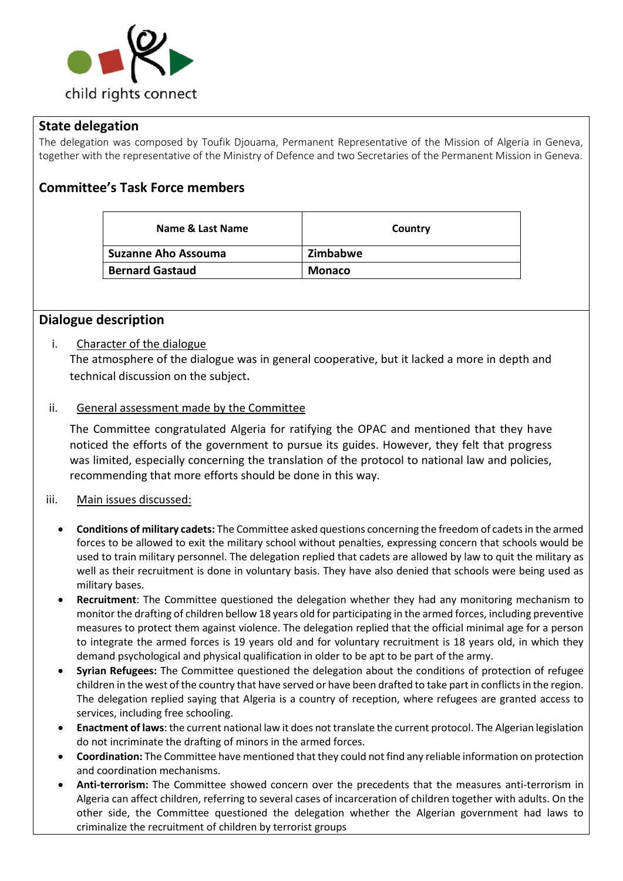

## **State delegation**

The delegation was composed by Toufik Djouama, Permanent Representative of the Mission of Algeria in Geneva, together with the representative of the Ministry of Defence and two Secretaries of the Permanent Mission in Geneva.

## **Committee's Task Force members**

| Name & Last Name       | Country       |
|------------------------|---------------|
| Suzanne Aho Assouma    | Zimbabwe      |
| <b>Bernard Gastaud</b> | <b>Monaco</b> |

## **Dialogue description**

### i. Character of the dialogue

The atmosphere of the dialogue was in general cooperative, but it lacked a more in depth and technical discussion on the subject.

### ii. General assessment made by the Committee

The Committee congratulated Algeria for ratifying the OPAC and mentioned that they have noticed the efforts of the government to pursue its guides. However, they felt that progress was limited, especially concerning the translation of the protocol to national law and policies, recommending that more efforts should be done in this way.

### iii. Main issues discussed:

- **Conditions of military cadets:** The Committee asked questions concerning the freedom of cadets in the armed forces to be allowed to exit the military school without penalties, expressing concern that schools would be used to train military personnel. The delegation replied that cadets are allowed by law to quit the military as well as their recruitment is done in voluntary basis. They have also denied that schools were being used as military bases.
- **Recruitment**: The Committee questioned the delegation whether they had any monitoring mechanism to monitor the drafting of children bellow 18 years old for participating in the armed forces, including preventive measures to protect them against violence. The delegation replied that the official minimal age for a person to integrate the armed forces is 19 years old and for voluntary recruitment is 18 years old, in which they demand psychological and physical qualification in older to be apt to be part of the army.
- **Syrian Refugees:** The Committee questioned the delegation about the conditions of protection of refugee children in the west of the country that have served or have been drafted to take part in conflicts in the region. The delegation replied saying that Algeria is a country of reception, where refugees are granted access to services, including free schooling.
- **Enactment of laws**: the current national law it does not translate the current protocol. The Algerian legislation do not incriminate the drafting of minors in the armed forces.
- **Coordination:** The Committee have mentioned that they could not find any reliable information on protection and coordination mechanisms.
- **Anti-terrorism:** The Committee showed concern over the precedents that the measures anti-terrorism in Algeria can affect children, referring to several cases of incarceration of children together with adults. On the other side, the Committee questioned the delegation whether the Algerian government had laws to criminalize the recruitment of children by terrorist groups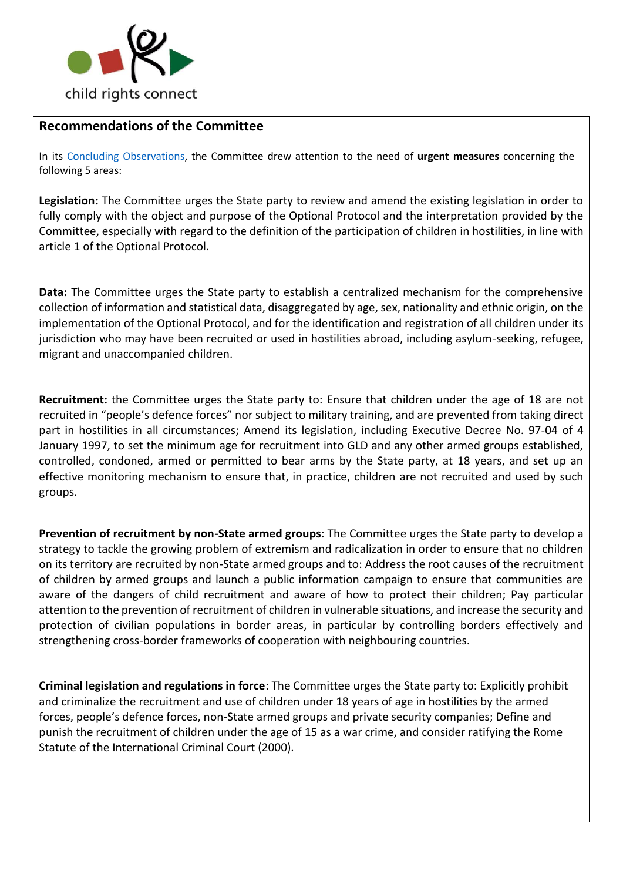

## **Recommendations of the Committee**

In its [Concluding Observations,](http://tbinternet.ohchr.org/_layouts/treatybodyexternal/Download.aspx?symbolno=CRC%2fC%2fNOR%2fCO%2f5-6&Lang=en) the Committee drew attention to the need of **urgent measures** concerning the following 5 areas:

**Legislation:** The Committee urges the State party to review and amend the existing legislation in order to fully comply with the object and purpose of the Optional Protocol and the interpretation provided by the Committee, especially with regard to the definition of the participation of children in hostilities, in line with article 1 of the Optional Protocol.

**Data:** The Committee urges the State party to establish a centralized mechanism for the comprehensive collection of information and statistical data, disaggregated by age, sex, nationality and ethnic origin, on the implementation of the Optional Protocol, and for the identification and registration of all children under its jurisdiction who may have been recruited or used in hostilities abroad, including asylum-seeking, refugee, migrant and unaccompanied children.

**Recruitment:** the Committee urges the State party to: Ensure that children under the age of 18 are not recruited in "people's defence forces" nor subject to military training, and are prevented from taking direct part in hostilities in all circumstances; Amend its legislation, including Executive Decree No. 97-04 of 4 January 1997, to set the minimum age for recruitment into GLD and any other armed groups established, controlled, condoned, armed or permitted to bear arms by the State party, at 18 years, and set up an effective monitoring mechanism to ensure that, in practice, children are not recruited and used by such groups**.** 

**Prevention of recruitment by non-State armed groups**: The Committee urges the State party to develop a strategy to tackle the growing problem of extremism and radicalization in order to ensure that no children on its territory are recruited by non-State armed groups and to: Address the root causes of the recruitment of children by armed groups and launch a public information campaign to ensure that communities are aware of the dangers of child recruitment and aware of how to protect their children; Pay particular attention to the prevention of recruitment of children in vulnerable situations, and increase the security and protection of civilian populations in border areas, in particular by controlling borders effectively and strengthening cross-border frameworks of cooperation with neighbouring countries.

**Criminal legislation and regulations in force**: The Committee urges the State party to: Explicitly prohibit and criminalize the recruitment and use of children under 18 years of age in hostilities by the armed forces, people's defence forces, non-State armed groups and private security companies; Define and punish the recruitment of children under the age of 15 as a war crime, and consider ratifying the Rome Statute of the International Criminal Court (2000).